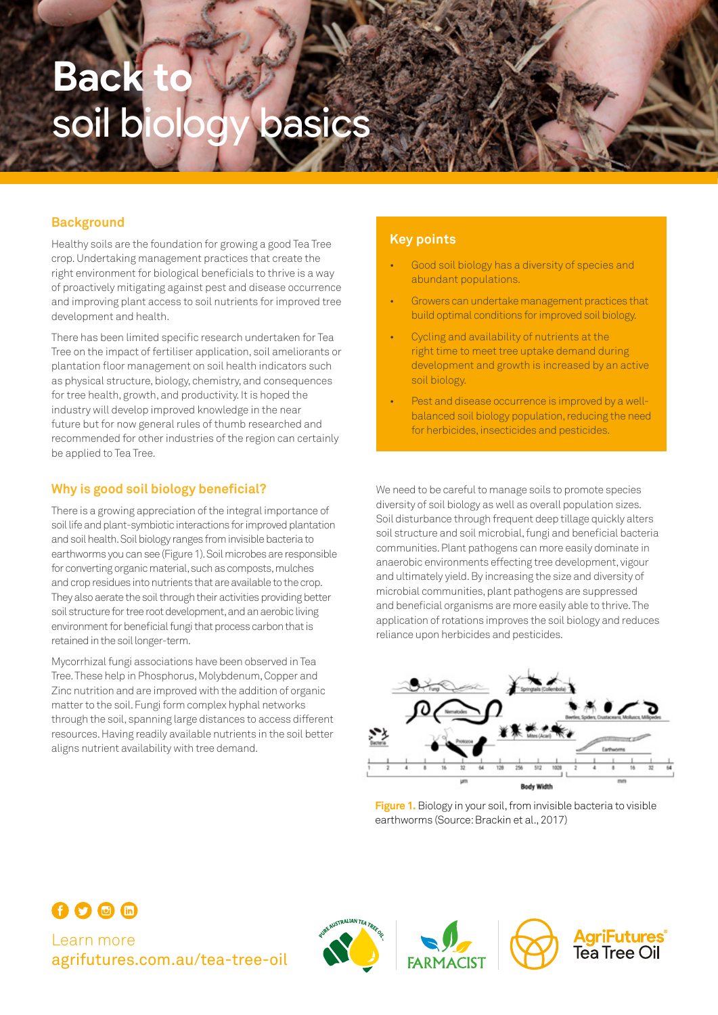# **Back** soil biology basics

# **Background**

Healthy soils are the foundation for growing a good Tea Tree crop. Undertaking management practices that create the right environment for biological beneficials to thrive is a way of proactively mitigating against pest and disease occurrence and improving plant access to soil nutrients for improved tree development and health.

There has been limited specific research undertaken for Tea Tree on the impact of fertiliser application, soil ameliorants or plantation floor management on soil health indicators such as physical structure, biology, chemistry, and consequences for tree health, growth, and productivity. It is hoped the industry will develop improved knowledge in the near future but for now general rules of thumb researched and recommended for other industries of the region can certainly be applied to Tea Tree.

# **Why is good soil biology beneficial?**

There is a growing appreciation of the integral importance of soil life and plant-symbiotic interactions for improved plantation and soil health. Soil biology ranges from invisible bacteria to earthworms you can see (Figure 1). Soil microbes are responsible for converting organic material, such as composts, mulches and crop residues into nutrients that are available to the crop. They also aerate the soil through their activities providing better soil structure for tree root development, and an aerobic living environment for beneficial fungi that process carbon that is retained in the soil longer-term.

Mycorrhizal fungi associations have been observed in Tea Tree. These help in Phosphorus, Molybdenum, Copper and Zinc nutrition and are improved with the addition of organic matter to the soil. Fungi form complex hyphal networks through the soil, spanning large distances to access different resources. Having readily available nutrients in the soil better aligns nutrient availability with tree demand.

### **Key points**

- Good soil biology has a diversity of species and abundant populations.
- Growers can undertake management practices that build optimal conditions for improved soil biology.
- Cycling and availability of nutrients at the right time to meet tree uptake demand during development and growth is increased by an active soil biology.
- Pest and disease occurrence is improved by a wellbalanced soil biology population, reducing the need for herbicides, insecticides and pesticides.

We need to be careful to manage soils to promote species diversity of soil biology as well as overall population sizes. Soil disturbance through frequent deep tillage quickly alters soil structure and soil microbial, fungi and beneficial bacteria communities. Plant pathogens can more easily dominate in anaerobic environments effecting tree development, vigour and ultimately yield. By increasing the size and diversity of microbial communities, plant pathogens are suppressed and beneficial organisms are more easily able to thrive. The application of rotations improves the soil biology and reduces reliance upon herbicides and pesticides.



**Figure 1.** Biology in your soil, from invisible bacteria to visible earthworms (Source: Brackin et al., 2017)



Learn more [agrifutures.com.au/](http://agrifutures.com.au/tea-tree-oil)tea-tree-oil





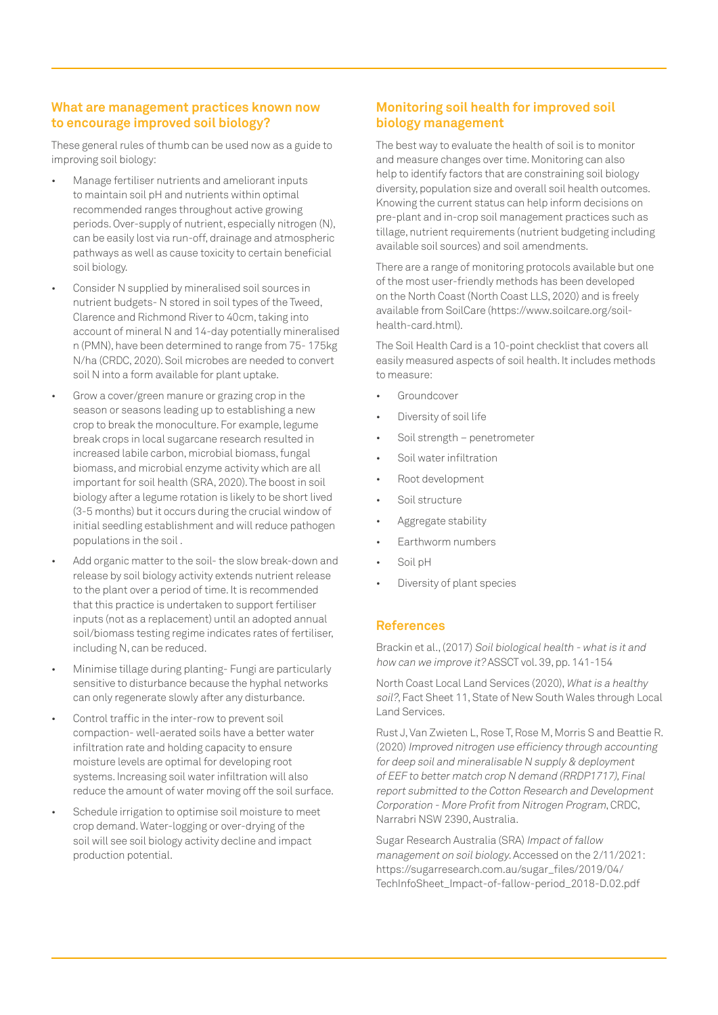# **What are management practices known now to encourage improved soil biology?**

These general rules of thumb can be used now as a guide to improving soil biology:

- Manage fertiliser nutrients and ameliorant inputs to maintain soil pH and nutrients within optimal recommended ranges throughout active growing periods. Over-supply of nutrient, especially nitrogen (N), can be easily lost via run-off, drainage and atmospheric pathways as well as cause toxicity to certain beneficial soil biology.
- Consider N supplied by mineralised soil sources in nutrient budgets- N stored in soil types of the Tweed, Clarence and Richmond River to 40cm, taking into account of mineral N and 14-day potentially mineralised n (PMN), have been determined to range from 75- 175kg N/ha (CRDC, 2020). Soil microbes are needed to convert soil N into a form available for plant uptake.
- Grow a cover/green manure or grazing crop in the season or seasons leading up to establishing a new crop to break the monoculture. For example, legume break crops in local sugarcane research resulted in increased labile carbon, microbial biomass, fungal biomass, and microbial enzyme activity which are all important for soil health (SRA, 2020). The boost in soil biology after a legume rotation is likely to be short lived (3-5 months) but it occurs during the crucial window of initial seedling establishment and will reduce pathogen populations in the soil .
- Add organic matter to the soil- the slow break-down and release by soil biology activity extends nutrient release to the plant over a period of time. It is recommended that this practice is undertaken to support fertiliser inputs (not as a replacement) until an adopted annual soil/biomass testing regime indicates rates of fertiliser, including N, can be reduced.
- Minimise tillage during planting- Fungi are particularly sensitive to disturbance because the hyphal networks can only regenerate slowly after any disturbance.
- Control traffic in the inter-row to prevent soil compaction- well-aerated soils have a better water infiltration rate and holding capacity to ensure moisture levels are optimal for developing root systems. Increasing soil water infiltration will also reduce the amount of water moving off the soil surface.
- Schedule irrigation to optimise soil moisture to meet crop demand. Water-logging or over-drying of the soil will see soil biology activity decline and impact production potential.

# **Monitoring soil health for improved soil biology management**

The best way to evaluate the health of soil is to monitor and measure changes over time. Monitoring can also help to identify factors that are constraining soil biology diversity, population size and overall soil health outcomes. Knowing the current status can help inform decisions on pre-plant and in-crop soil management practices such as tillage, nutrient requirements (nutrient budgeting including available soil sources) and soil amendments.

There are a range of monitoring protocols available but one of the most user-friendly methods has been developed on the North Coast (North Coast LLS, 2020) and is freely available from SoilCare [\(https://www.soilcare.org/soil](https://www.soilcare.org/soil-health-card.html)[health-card.html](https://www.soilcare.org/soil-health-card.html)).

The Soil Health Card is a 10-point checklist that covers all easily measured aspects of soil health. It includes methods to measure:

- **Groundcover**
- Diversity of soil life
- Soil strength penetrometer
- Soil water infiltration
- Root development
- Soil structure
- Aggregate stability
- Earthworm numbers
- Soil pH
- Diversity of plant species

#### **References**

Brackin et al., (2017) Soil biological health - what is it and how can we improve it? ASSCT vol. 39, pp. 141-154

North Coast Local Land Services (2020), What is a healthy soil?, Fact Sheet 11, State of New South Wales through Local Land Services.

Rust J, Van Zwieten L, Rose T, Rose M, Morris S and Beattie R. (2020) Improved nitrogen use efficiency through accounting for deep soil and mineralisable N supply & deployment of EEF to better match crop N demand (RRDP1717), Final report submitted to the Cotton Research and Development Corporation - More Profit from Nitrogen Program, CRDC, Narrabri NSW 2390, Australia.

Sugar Research Australia (SRA) Impact of fallow management on soil biology. Accessed on the 2/11/2021: [https://sugarresearch.com.au/sugar\\_files/2019/04/](https://sugarresearch.com.au/sugar_files/2019/04/TechInfoSheet_Impact-of-fallow-period_2018-D.02.pdf) [TechInfoSheet\\_Impact-of-fallow-period\\_2018-D.02.pdf](https://sugarresearch.com.au/sugar_files/2019/04/TechInfoSheet_Impact-of-fallow-period_2018-D.02.pdf)